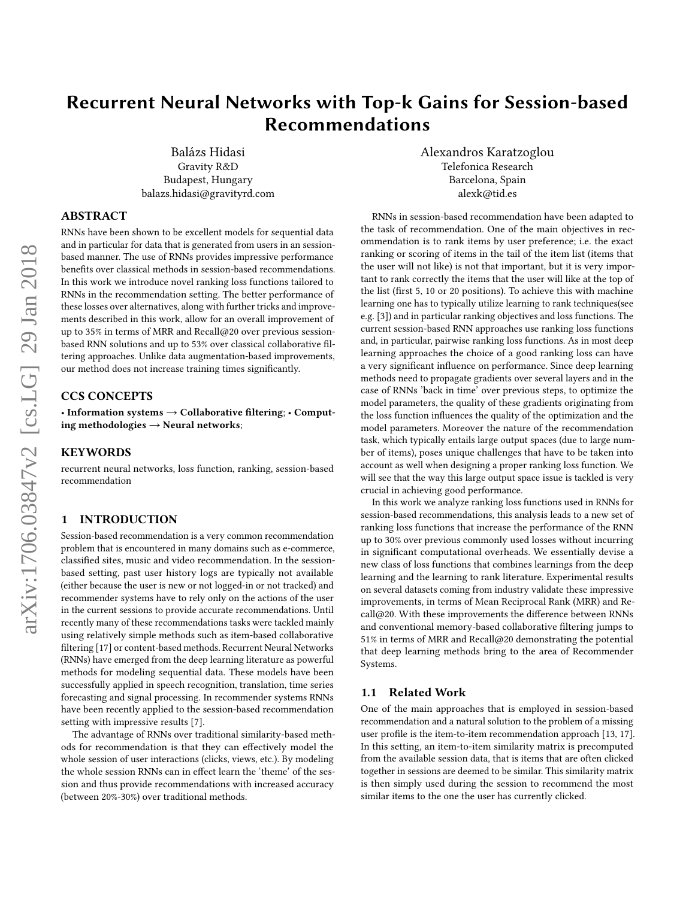# Recurrent Neural Networks with Top-k Gains for Session-based Recommendations

Balázs Hidasi Gravity R&D Budapest, Hungary balazs.hidasi@gravityrd.com

## ABSTRACT

RNNs have been shown to be excellent models for sequential data and in particular for data that is generated from users in an sessionbased manner. The use of RNNs provides impressive performance benefits over classical methods in session-based recommendations. In this work we introduce novel ranking loss functions tailored to RNNs in the recommendation setting. The better performance of these losses over alternatives, along with further tricks and improvements described in this work, allow for an overall improvement of up to 35% in terms of MRR and Recall@20 over previous sessionbased RNN solutions and up to 53% over classical collaborative filtering approaches. Unlike data augmentation-based improvements, our method does not increase training times significantly.

# CCS CONCEPTS

• Information systems → Collaborative filtering; • Computing methodologies  $\rightarrow$  Neural networks;

## KEYWORDS

recurrent neural networks, loss function, ranking, session-based recommendation

#### 1 INTRODUCTION

Session-based recommendation is a very common recommendation problem that is encountered in many domains such as e-commerce, classified sites, music and video recommendation. In the sessionbased setting, past user history logs are typically not available (either because the user is new or not logged-in or not tracked) and recommender systems have to rely only on the actions of the user in the current sessions to provide accurate recommendations. Until recently many of these recommendations tasks were tackled mainly using relatively simple methods such as item-based collaborative filtering [\[17\]](#page-8-0) or content-based methods. Recurrent Neural Networks (RNNs) have emerged from the deep learning literature as powerful methods for modeling sequential data. These models have been successfully applied in speech recognition, translation, time series forecasting and signal processing. In recommender systems RNNs have been recently applied to the session-based recommendation setting with impressive results [\[7\]](#page-8-1).

The advantage of RNNs over traditional similarity-based methods for recommendation is that they can effectively model the whole session of user interactions (clicks, views, etc.). By modeling the whole session RNNs can in effect learn the 'theme' of the session and thus provide recommendations with increased accuracy (between 20%-30%) over traditional methods.

Alexandros Karatzoglou Telefonica Research Barcelona, Spain alexk@tid.es

RNNs in session-based recommendation have been adapted to the task of recommendation. One of the main objectives in recommendation is to rank items by user preference; i.e. the exact ranking or scoring of items in the tail of the item list (items that the user will not like) is not that important, but it is very important to rank correctly the items that the user will like at the top of the list (first 5, 10 or 20 positions). To achieve this with machine learning one has to typically utilize learning to rank techniques(see e.g. [\[3\]](#page-8-2)) and in particular ranking objectives and loss functions. The current session-based RNN approaches use ranking loss functions and, in particular, pairwise ranking loss functions. As in most deep learning approaches the choice of a good ranking loss can have a very significant influence on performance. Since deep learning methods need to propagate gradients over several layers and in the case of RNNs 'back in time' over previous steps, to optimize the model parameters, the quality of these gradients originating from the loss function influences the quality of the optimization and the model parameters. Moreover the nature of the recommendation task, which typically entails large output spaces (due to large number of items), poses unique challenges that have to be taken into account as well when designing a proper ranking loss function. We will see that the way this large output space issue is tackled is very crucial in achieving good performance.

In this work we analyze ranking loss functions used in RNNs for session-based recommendations, this analysis leads to a new set of ranking loss functions that increase the performance of the RNN up to 30% over previous commonly used losses without incurring in significant computational overheads. We essentially devise a new class of loss functions that combines learnings from the deep learning and the learning to rank literature. Experimental results on several datasets coming from industry validate these impressive improvements, in terms of Mean Reciprocal Rank (MRR) and Recall@20. With these improvements the difference between RNNs and conventional memory-based collaborative filtering jumps to 51% in terms of MRR and Recall@20 demonstrating the potential that deep learning methods bring to the area of Recommender Systems.

## 1.1 Related Work

One of the main approaches that is employed in session-based recommendation and a natural solution to the problem of a missing user profile is the item-to-item recommendation approach [\[13,](#page-8-3) [17\]](#page-8-0). In this setting, an item-to-item similarity matrix is precomputed from the available session data, that is items that are often clicked together in sessions are deemed to be similar. This similarity matrix is then simply used during the session to recommend the most similar items to the one the user has currently clicked.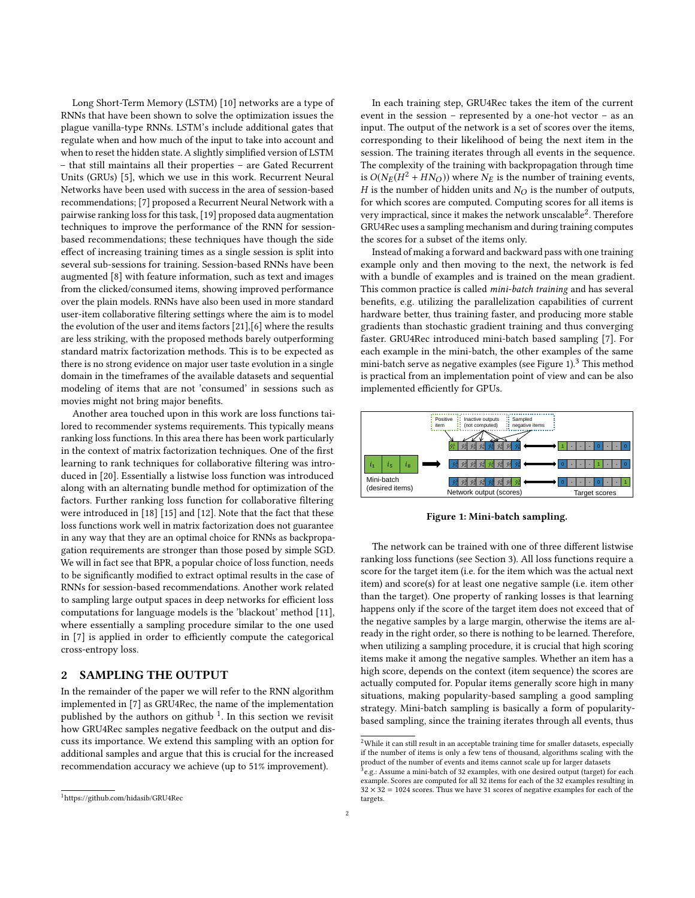Long Short-Term Memory (LSTM) [\[10\]](#page-8-4) networks are a type of RNNs that have been shown to solve the optimization issues the plague vanilla-type RNNs. LSTM's include additional gates that regulate when and how much of the input to take into account and when to reset the hidden state. A slightly simplified version of LSTM – that still maintains all their properties – are Gated Recurrent Units (GRUs) [\[5\]](#page-8-5), which we use in this work. Recurrent Neural Networks have been used with success in the area of session-based recommendations; [\[7\]](#page-8-1) proposed a Recurrent Neural Network with a pairwise ranking loss for this task, [\[19\]](#page-8-6) proposed data augmentation techniques to improve the performance of the RNN for sessionbased recommendations; these techniques have though the side effect of increasing training times as a single session is split into several sub-sessions for training. Session-based RNNs have been augmented [\[8\]](#page-8-7) with feature information, such as text and images from the clicked/consumed items, showing improved performance over the plain models. RNNs have also been used in more standard user-item collaborative filtering settings where the aim is to model the evolution of the user and items factors [\[21\]](#page-8-8),[\[6\]](#page-8-9) where the results are less striking, with the proposed methods barely outperforming standard matrix factorization methods. This is to be expected as there is no strong evidence on major user taste evolution in a single domain in the timeframes of the available datasets and sequential modeling of items that are not 'consumed' in sessions such as movies might not bring major benefits.

Another area touched upon in this work are loss functions tailored to recommender systems requirements. This typically means ranking loss functions. In this area there has been work particularly in the context of matrix factorization techniques. One of the first learning to rank techniques for collaborative filtering was introduced in [\[20\]](#page-8-10). Essentially a listwise loss function was introduced along with an alternating bundle method for optimization of the factors. Further ranking loss function for collaborative filtering were introduced in [\[18\]](#page-8-11) [\[15\]](#page-8-12) and [\[12\]](#page-8-13). Note that the fact that these loss functions work well in matrix factorization does not guarantee in any way that they are an optimal choice for RNNs as backpropagation requirements are stronger than those posed by simple SGD. We will in fact see that BPR, a popular choice of loss function, needs to be significantly modified to extract optimal results in the case of RNNs for session-based recommendations. Another work related to sampling large output spaces in deep networks for efficient loss computations for language models is the 'blackout' method [\[11\]](#page-8-14), where essentially a sampling procedure similar to the one used in [\[7\]](#page-8-1) is applied in order to efficiently compute the categorical cross-entropy loss.

## <span id="page-1-4"></span>2 SAMPLING THE OUTPUT

In the remainder of the paper we will refer to the RNN algorithm implemented in [\[7\]](#page-8-1) as GRU4Rec, the name of the implementation published by the authors on github <sup>[1](#page-1-0)</sup>. In this section we revisit how GRU4Rec samples negative feedback on the output and discuss its importance. We extend this sampling with an option for additional samples and argue that this is crucial for the increased recommendation accuracy we achieve (up to 51% improvement).

In each training step, GRU4Rec takes the item of the current event in the session – represented by a one-hot vector – as an input. The output of the network is a set of scores over the items, corresponding to their likelihood of being the next item in the session. The training iterates through all events in the sequence. The complexity of the training with backpropagation through time is  $O(N_E(H^2 + HN_O))$  where  $N_E$  is the number of training events,<br>*H* is the number of hidden units and  $N_O$  is the number of outputs H is the number of hidden units and  $N_Q$  is the number of outputs, for which scores are computed. Computing scores for all items is very impractical, since it makes the network unscalable<sup>[2](#page-1-1)</sup>. Therefore GRU4Rec uses a sampling mechanism and during training computes the scores for a subset of the items only.

Instead of making a forward and backward pass with one training example only and then moving to the next, the network is fed with a bundle of examples and is trained on the mean gradient. This common practice is called *mini-batch training* and has several benefits, e.g. utilizing the parallelization capabilities of current hardware better, thus training faster, and producing more stable gradients than stochastic gradient training and thus converging faster. GRU4Rec introduced mini-batch based sampling [\[7\]](#page-8-1). For each example in the mini-batch, the other examples of the same mini-batch serve as negative examples (see Figure [1\)](#page-1-2).<sup>[3](#page-1-3)</sup> This method is practical from an implementation point of view and can be also implemented efficiently for GPUs.

<span id="page-1-2"></span>

Figure 1: Mini-batch sampling.

The network can be trained with one of three different listwise ranking loss functions (see Section [3\)](#page-2-0). All loss functions require a score for the target item (i.e. for the item which was the actual next item) and score(s) for at least one negative sample (i.e. item other than the target). One property of ranking losses is that learning happens only if the score of the target item does not exceed that of the negative samples by a large margin, otherwise the items are already in the right order, so there is nothing to be learned. Therefore, when utilizing a sampling procedure, it is crucial that high scoring items make it among the negative samples. Whether an item has a high score, depends on the context (item sequence) the scores are actually computed for. Popular items generally score high in many situations, making popularity-based sampling a good sampling strategy. Mini-batch sampling is basically a form of popularitybased sampling, since the training iterates through all events, thus

<span id="page-1-0"></span><sup>1</sup><https://github.com/hidasib/GRU4Rec>

<span id="page-1-1"></span> $^2$  While it can still result in an acceptable training time for smaller datasets, especially if the number of items is only a few tens of thousand, algorithms scaling with the product of the number of events and items cannot scale up for larger datasets

<span id="page-1-3"></span> $\bar{^3}$ e.g.: Assume a mini-batch of 32 examples, with one desired output (target) for each example. Scores are computed for all 32 items for each of the 32 examples resulting in  $32 \times 32 = 1024$  scores. Thus we have 31 scores of negative examples for each of the targets.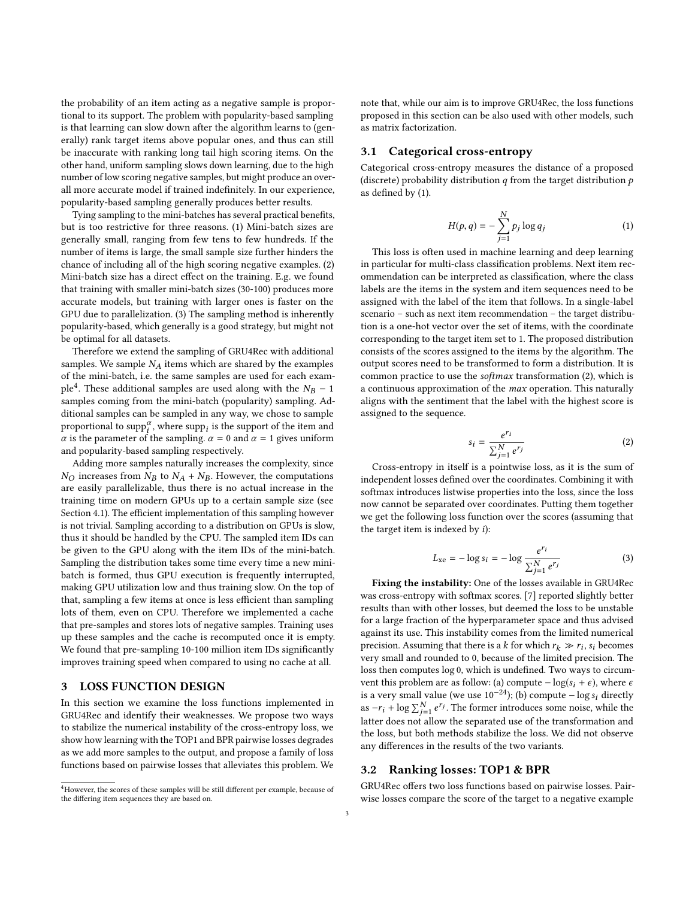the probability of an item acting as a negative sample is proportional to its support. The problem with popularity-based sampling is that learning can slow down after the algorithm learns to (generally) rank target items above popular ones, and thus can still be inaccurate with ranking long tail high scoring items. On the other hand, uniform sampling slows down learning, due to the high number of low scoring negative samples, but might produce an overall more accurate model if trained indefinitely. In our experience, popularity-based sampling generally produces better results.

Tying sampling to the mini-batches has several practical benefits, but is too restrictive for three reasons. (1) Mini-batch sizes are generally small, ranging from few tens to few hundreds. If the number of items is large, the small sample size further hinders the chance of including all of the high scoring negative examples. (2) Mini-batch size has a direct effect on the training. E.g. we found that training with smaller mini-batch sizes (30-100) produces more accurate models, but training with larger ones is faster on the GPU due to parallelization. (3) The sampling method is inherently popularity-based, which generally is a good strategy, but might not be optimal for all datasets.

Therefore we extend the sampling of GRU4Rec with additional samples. We sample  $N_A$  items which are shared by the examples of the mini-batch, i.e. the same samples are used for each exam-ple<sup>[4](#page-2-1)</sup>. These additional samples are used along with the  $N_B - 1$ <br>samples coming from the mini-batch (popularity) sampling. Adsamples coming from the mini-batch (popularity) sampling. Additional samples can be sampled in any way, we chose to sample proportional to  $\mathrm{supp}_i^\alpha$ , where  $\mathrm{supp}_i$  is the support of the item and  $\alpha$  is the parameter of the sampling.  $\alpha = 0$  and  $\alpha = 1$  gives uniform and popularity-based sampling respectively.

Adding more samples naturally increases the complexity, since  $N_O$  increases from  $N_B$  to  $N_A + N_B$ . However, the computations are easily parallelizable, thus there is no actual increase in the training time on modern GPUs up to a certain sample size (see Section [4.1\)](#page-6-0). The efficient implementation of this sampling however is not trivial. Sampling according to a distribution on GPUs is slow, thus it should be handled by the CPU. The sampled item IDs can be given to the GPU along with the item IDs of the mini-batch. Sampling the distribution takes some time every time a new minibatch is formed, thus GPU execution is frequently interrupted, making GPU utilization low and thus training slow. On the top of that, sampling a few items at once is less efficient than sampling lots of them, even on CPU. Therefore we implemented a cache that pre-samples and stores lots of negative samples. Training uses up these samples and the cache is recomputed once it is empty. We found that pre-sampling 10-100 million item IDs significantly improves training speed when compared to using no cache at all.

# <span id="page-2-0"></span>3 LOSS FUNCTION DESIGN

In this section we examine the loss functions implemented in GRU4Rec and identify their weaknesses. We propose two ways to stabilize the numerical instability of the cross-entropy loss, we show how learning with the TOP1 and BPR pairwise losses degrades as we add more samples to the output, and propose a family of loss functions based on pairwise losses that alleviates this problem. We note that, while our aim is to improve GRU4Rec, the loss functions proposed in this section can be also used with other models, such as matrix factorization.

#### 3.1 Categorical cross-entropy

Categorical cross-entropy measures the distance of a proposed (discrete) probability distribution  $q$  from the target distribution  $p$ as defined by [\(1\)](#page-2-2).

<span id="page-2-2"></span>
$$
H(p,q) = -\sum_{j=1}^{N} p_j \log q_j \tag{1}
$$

 $_{j=1}^{\quad \, j=1}$ This loss is often used in machine learning and deep learning in particular for multi-class classification problems. Next item recommendation can be interpreted as classification, where the class labels are the items in the system and item sequences need to be assigned with the label of the item that follows. In a single-label scenario – such as next item recommendation – the target distribution is a one-hot vector over the set of items, with the coordinate corresponding to the target item set to 1. The proposed distribution consists of the scores assigned to the items by the algorithm. The output scores need to be transformed to form a distribution. It is common practice to use the softmax transformation [\(2\)](#page-2-3), which is a continuous approximation of the max operation. This naturally aligns with the sentiment that the label with the highest score is assigned to the sequence.

<span id="page-2-3"></span>
$$
s_i = \frac{e^{r_i}}{\sum_{j=1}^{N} e^{r_j}}\tag{2}
$$

 $\sum_{j=1}^{\infty} e^{-y}$  Cross-entropy in itself is a pointwise loss, as it is the sum of independent losses defined over the coordinates. Combining it with softmax introduces listwise properties into the loss, since the loss now cannot be separated over coordinates. Putting them together we get the following loss function over the scores (assuming that the target item is indexed by  $i$ ):

$$
L_{\rm xe} = -\log s_i = -\log \frac{e^{r_i}}{\sum_{j=1}^{N} e^{r_j}}
$$
 (3)

 $\sum_{j=1}^{\infty} e^{-j}$ Fixing the instability: One of the losses available in GRU4Rec was cross-entropy with softmax scores. [\[7\]](#page-8-1) reported slightly better results than with other losses, but deemed the loss to be unstable for a large fraction of the hyperparameter space and thus advised against its use. This instability comes from the limited numerical precision. Assuming that there is a k for which  $r_k \gg r_i$ ,  $s_i$  becomes very small and rounded to 0, because of the limited precision. The very small and rounded to 0, because of the limited precision. The loss then computes log 0, which is undefined. Two ways to circumvent this problem are as follow: (a) compute  $-\log(s_i + \epsilon)$ , where  $\epsilon$ is a very small value (we use  $10^{-24}$ ); (b) compute  $-\log s_i$  directly as  $-r_i + \log \sum_{j=1}^{N} e^{r_j}$ . The former introduces some noise, while the as  $-r_i$  +  $\log \sum_{j=1} e^{-r}$ . The former infroduces some noise, while the latter does not allow the separated use of the transformation and the loss, but both methods stabilize the loss. We did not observe any differences in the results of the two variants.

## 3.2 Ranking losses: TOP1 & BPR

GRU4Rec offers two loss functions based on pairwise losses. Pairwise losses compare the score of the target to a negative example

<span id="page-2-1"></span><sup>4</sup>However, the scores of these samples will be still different per example, because of the differing item sequences they are based on.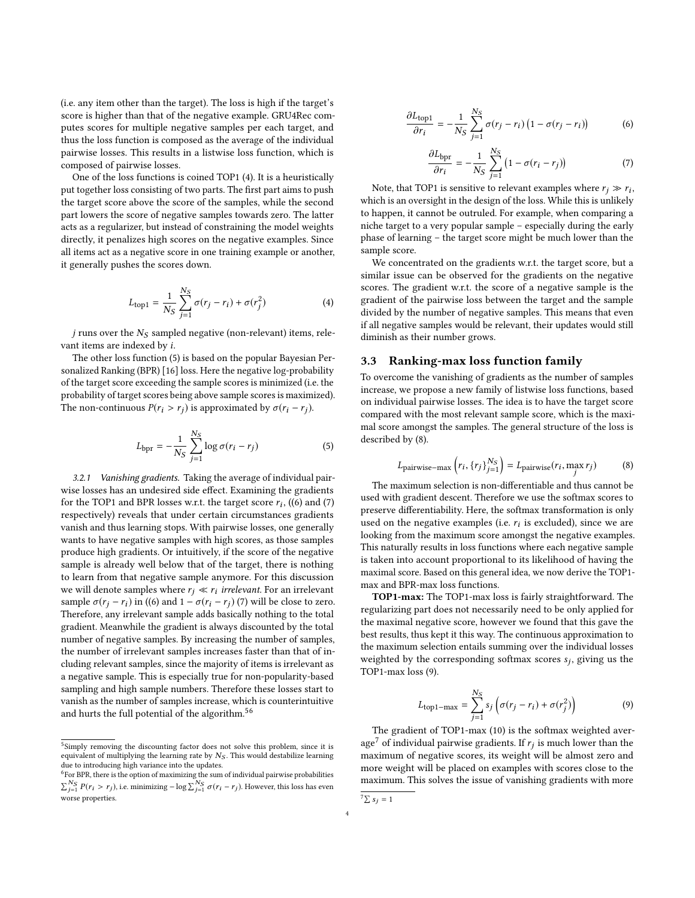(i.e. any item other than the target). The loss is high if the target's score is higher than that of the negative example. GRU4Rec computes scores for multiple negative samples per each target, and thus the loss function is composed as the average of the individual pairwise losses. This results in a listwise loss function, which is composed of pairwise losses.

One of the loss functions is coined TOP1 [\(4\)](#page-3-0). It is a heuristically put together loss consisting of two parts. The first part aims to push the target score above the score of the samples, while the second part lowers the score of negative samples towards zero. The latter acts as a regularizer, but instead of constraining the model weights directly, it penalizes high scores on the negative examples. Since all items act as a negative score in one training example or another, it generally pushes the scores down.

<span id="page-3-0"></span>
$$
L_{\text{top1}} = \frac{1}{N_S} \sum_{j=1}^{N_S} \sigma(r_j - r_i) + \sigma(r_j^2)
$$
 (4)

 $j$  runs over the  $N_S$  sampled negative (non-relevant) items, relevant items are indexed by i.

The other loss function [\(5\)](#page-3-1) is based on the popular Bayesian Personalized Ranking (BPR) [\[16\]](#page-8-15) loss. Here the negative log-probability of the target score exceeding the sample scores is minimized (i.e. the probability of target scores being above sample scores is maximized). The non-continuous  $P(r_i > r_j)$  is approximated by  $\sigma(r_i - r_j)$ .

<span id="page-3-1"></span>
$$
L_{\rm bpr} = -\frac{1}{N_S} \sum_{j=1}^{N_S} \log \sigma(r_i - r_j)
$$
 (5)

3.2.1 Vanishing gradients. Taking the average of individual pairwise losses has an undesired side effect. Examining the gradients for the TOP1 and BPR losses w.r.t. the target score  $r_i$ , ([\(6\)](#page-3-2) and [\(7\)](#page-3-3) reconcitively) reveals that under certain circumstances gradients respectively) reveals that under certain circumstances gradients vanish and thus learning stops. With pairwise losses, one generally wants to have negative samples with high scores, as those samples produce high gradients. Or intuitively, if the score of the negative sample is already well below that of the target, there is nothing to learn from that negative sample anymore. For this discussion we will denote samples where  $r_j \ll r_i$  *irrelevant*. For an irrelevant<br>sample  $\sigma(r_i - r_i)$  in  $((6)$  and  $1 - \sigma(r_i - r_i)/7$  will be close to zero sample  $\sigma(r_i - r_i)$  in ([\(6\)](#page-3-2) and  $1 - \sigma(r_i - r_i)$  [\(7\)](#page-3-3) will be close to zero. Therefore, any irrelevant sample adds basically nothing to the total gradient. Meanwhile the gradient is always discounted by the total number of negative samples. By increasing the number of samples, the number of irrelevant samples increases faster than that of including relevant samples, since the majority of items is irrelevant as a negative sample. This is especially true for non-popularity-based sampling and high sample numbers. Therefore these losses start to vanish as the number of samples increase, which is counterintuitive and hurts the full potential of the algorithm.[5](#page-3-4)[6](#page-3-5)

<span id="page-3-2"></span>
$$
\frac{\partial L_{\text{top1}}}{\partial r_i} = -\frac{1}{N_S} \sum_{j=1}^{N_S} \sigma(r_j - r_i) \left(1 - \sigma(r_j - r_i)\right) \tag{6}
$$

<span id="page-3-3"></span>
$$
\frac{\partial L_{\text{bpr}}}{\partial r_i} = -\frac{1}{N_S} \sum_{j=1}^{N_S} \left( 1 - \sigma (r_i - r_j) \right) \tag{7}
$$

Note, that TOP1 is sensitive to relevant examples where  $r_j \gg r_i$ , ich is an oversight in the design of the loss While this is unlikely which is an oversight in the design of the loss. While this is unlikely to happen, it cannot be outruled. For example, when comparing a niche target to a very popular sample – especially during the early phase of learning – the target score might be much lower than the sample score.

We concentrated on the gradients w.r.t. the target score, but a similar issue can be observed for the gradients on the negative scores. The gradient w.r.t. the score of a negative sample is the gradient of the pairwise loss between the target and the sample divided by the number of negative samples. This means that even if all negative samples would be relevant, their updates would still diminish as their number grows.

#### 3.3 Ranking-max loss function family

To overcome the vanishing of gradients as the number of samples increase, we propose a new family of listwise loss functions, based on individual pairwise losses. The idea is to have the target score compared with the most relevant sample score, which is the maximal score amongst the samples. The general structure of the loss is described by [\(8\)](#page-3-6).

<span id="page-3-6"></span>
$$
L_{\text{pairwise-max}}\left(r_i, \{r_j\}_{j=1}^{N_S}\right) = L_{\text{pairwise}}(r_i, \max_j r_j)
$$
\n(8)

\nThe maximum selection is non-differentiable and thus cannot be

used with gradient descent. Therefore we use the softmax scores to preserve differentiability. Here, the softmax transformation is only used on the negative examples (i.e.  $r_i$  is excluded), since we are<br>looking from the maximum score amongst the negative examples looking from the maximum score amongst the negative examples. This naturally results in loss functions where each negative sample is taken into account proportional to its likelihood of having the maximal score. Based on this general idea, we now derive the TOP1 max and BPR-max loss functions.

TOP1-max: The TOP1-max loss is fairly straightforward. The regularizing part does not necessarily need to be only applied for the maximal negative score, however we found that this gave the best results, thus kept it this way. The continuous approximation to the maximum selection entails summing over the individual losses weighted by the corresponding softmax scores  $s_j$ , giving us the TOP1-may loss (9) TOP1-max loss [\(9\)](#page-3-7).

<span id="page-3-7"></span>
$$
L_{\text{top1-max}} = \sum_{j=1}^{N_S} s_j \left( \sigma(r_j - r_i) + \sigma(r_j^2) \right) \tag{9}
$$

 $j=1$ <br>The gradient of TOP1-max [\(10\)](#page-4-0) is the softmax weighted aver-age<sup>[7](#page-3-8)</sup> of individual pairwise gradients. If  $r_j$  is much lower than the maximum of negative scores, its weight will be almost zero and maximum of negative scores, its weight will be almost zero and more weight will be placed on examples with scores close to the maximum. This solves the issue of vanishing gradients with more

<span id="page-3-4"></span><sup>&</sup>lt;sup>5</sup>Simply removing the discounting factor does not solve this problem, since it is equivalent of multiplying the learning rate by  $N_S$ . This would destabilize learning due to introducing high variance into the updates.

<span id="page-3-5"></span><sup>6</sup> For BPR, there is the option of maximizing the sum of individual pairwise probabilities  $\sum_{j=1}^{N_S} P(r_i > r_j)$ , i.e. minimizing – log  $\sum_{j=1}^{N_S} \sigma(r_i - r_j)$ . However, this loss has even worse properties.

<span id="page-3-8"></span> $\int^7 \sum s_j = 1$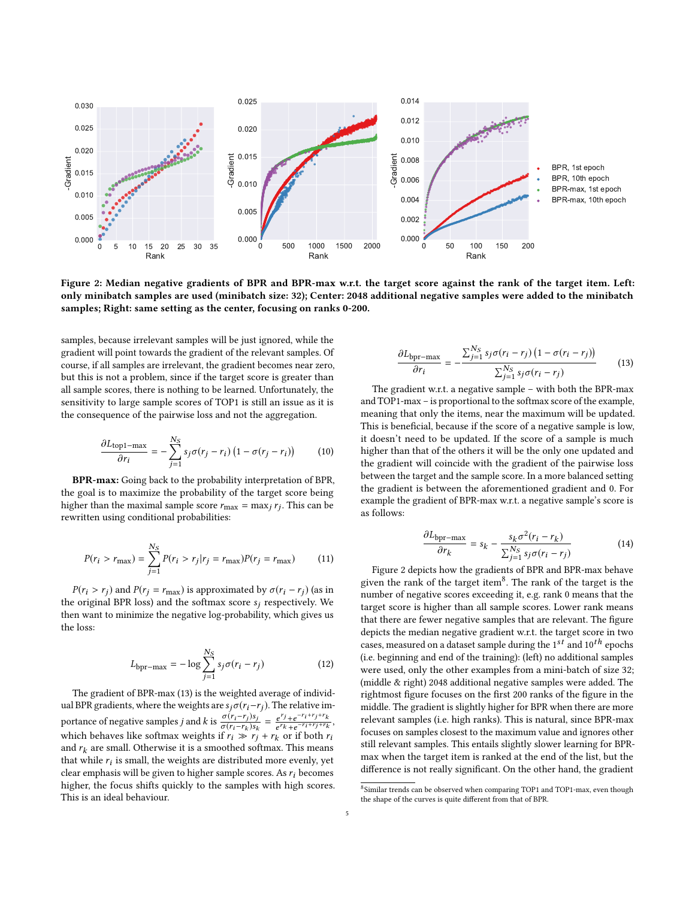<span id="page-4-2"></span>

Figure 2: Median negative gradients of BPR and BPR-max w.r.t. the target score against the rank of the target item. Left: only minibatch samples are used (minibatch size: 32); Center: 2048 additional negative samples were added to the minibatch samples; Right: same setting as the center, focusing on ranks 0-200.

samples, because irrelevant samples will be just ignored, while the gradient will point towards the gradient of the relevant samples. Of course, if all samples are irrelevant, the gradient becomes near zero, but this is not a problem, since if the target score is greater than all sample scores, there is nothing to be learned. Unfortunately, the sensitivity to large sample scores of TOP1 is still an issue as it is the consequence of the pairwise loss and not the aggregation.

<span id="page-4-0"></span>
$$
\frac{\partial L_{\text{top1} - \max}}{\partial r_i} = -\sum_{j=1}^{N_S} s_j \sigma(r_j - r_i) \left(1 - \sigma(r_j - r_i)\right) \tag{10}
$$

BPR-max: Going back to the probability interpretation of BPR, the goal is to maximize the probability of the target score being higher than the maximal sample score  $r_{\text{max}} = \max_j r_j$ . This can be rewritten using conditional probabilities: rewritten using conditional probabilities:

$$
P(r_i > r_{\text{max}}) = \sum_{j=1}^{N_S} P(r_i > r_j | r_j = r_{\text{max}}) P(r_j = r_{\text{max}})
$$
 (11)

 $P(r_i > r_j)$  and  $P(r_j = r_{\text{max}})$  is approximated by  $\sigma(r_i - r_j)$  (as in the original BPR loss) and the softmax score  $s_i$  respectively. We then want to minimize the negative log-probability, which gives us the loss:

$$
L_{\rm bpr-max} = -\log \sum_{j=1}^{N_S} s_j \sigma(r_i - r_j)
$$
 (12)

The gradient of BPR-max [\(13\)](#page-4-1) is the weighted average of individual BPR gradients, where the weights are  $s_j \sigma(r_i-r_j)$ . The relative importance of negative samples *j* and *k* is  $\frac{\sigma(r_i-r_j)s_j}{\sigma(r_i-r_k)s_k} = \frac{e^{r_j}+e^{-r_i+r_j+r_k}}{e^{r_k}+e^{-r_i+r_j+r_k}}$ <br>which behaves like softmay weights if  $r_i \gg r_i + r_i$  or if both *i* portance of negative samples *f* and  $\kappa$  is  $\frac{\sigma(r_i-r_k)s_k}{\sigma(r_i-r_k)s_k} - \frac{\overline{e^{r_k}+e^{-r_i+r_j+r_k}}}{\sigma(r_k+r_k)}$  which behaves like softmax weights if  $r_i \gg r_j + r_k$  or if both  $r_i$  $-r_i+r_j+r_k$ , and  $r_k$  are small. Otherwise it is a smoothed softmax. This means that while  $r_i$  is small, the weights are distributed more evenly, yet<br>clear emphasis will be given to higher sample scores. As rehecomes clear emphasis will be given to higher sample scores. As  $r_i$  becomes higher, the focus shifts quickly to the samples with high scores. This is an ideal behaviour.

<span id="page-4-1"></span>
$$
\frac{\partial L_{\text{bpr-max}}}{\partial r_i} = -\frac{\sum_{j=1}^{N_S} s_j \sigma(r_i - r_j) \left(1 - \sigma(r_i - r_j)\right)}{\sum_{j=1}^{N_S} s_j \sigma(r_i - r_j)}\tag{13}
$$

The gradient w.r.t. a negative sample – with both the BPR-max and TOP1-max – is proportional to the softmax score of the example, meaning that only the items, near the maximum will be updated. This is beneficial, because if the score of a negative sample is low, it doesn't need to be updated. If the score of a sample is much higher than that of the others it will be the only one updated and the gradient will coincide with the gradient of the pairwise loss between the target and the sample score. In a more balanced setting the gradient is between the aforementioned gradient and 0. For example the gradient of BPR-max w.r.t. a negative sample's score is as follows:

$$
\frac{\partial L_{\text{bpr}-\text{max}}}{\partial r_k} = s_k - \frac{s_k \sigma^2 (r_i - r_k)}{\sum_{i=1}^{N_S} s_j \sigma (r_i - r_j)}
$$
(14)

 $\frac{\partial r_k}{\partial r_{j=1}} \sum_{j=1}^{N_S} s_j \sigma(r_i - r_j)$ <br>Figure [2](#page-4-2) depicts how the gradients of BPR and BPR-max behave given the rank of the target item<sup>[8](#page-4-3)</sup>. The rank of the target is the number of negative scores exceeding it, e.g. rank 0 means that the target score is higher than all sample scores. Lower rank means that there are fewer negative samples that are relevant. The figure depicts the median negative gradient w.r.t. the target score in two cases, measured on a dataset sample during the  $1^{st}$  and  $10^{th}$  epochs (i.e. beginning and end of the training): (left) no additional samples were used, only the other examples from a mini-batch of size 32; (middle & right) 2048 additional negative samples were added. The rightmost figure focuses on the first 200 ranks of the figure in the middle. The gradient is slightly higher for BPR when there are more relevant samples (i.e. high ranks). This is natural, since BPR-max focuses on samples closest to the maximum value and ignores other still relevant samples. This entails slightly slower learning for BPRmax when the target item is ranked at the end of the list, but the difference is not really significant. On the other hand, the gradient

<span id="page-4-3"></span><sup>8</sup> Similar trends can be observed when comparing TOP1 and TOP1-max, even though the shape of the curves is quite different from that of BPR.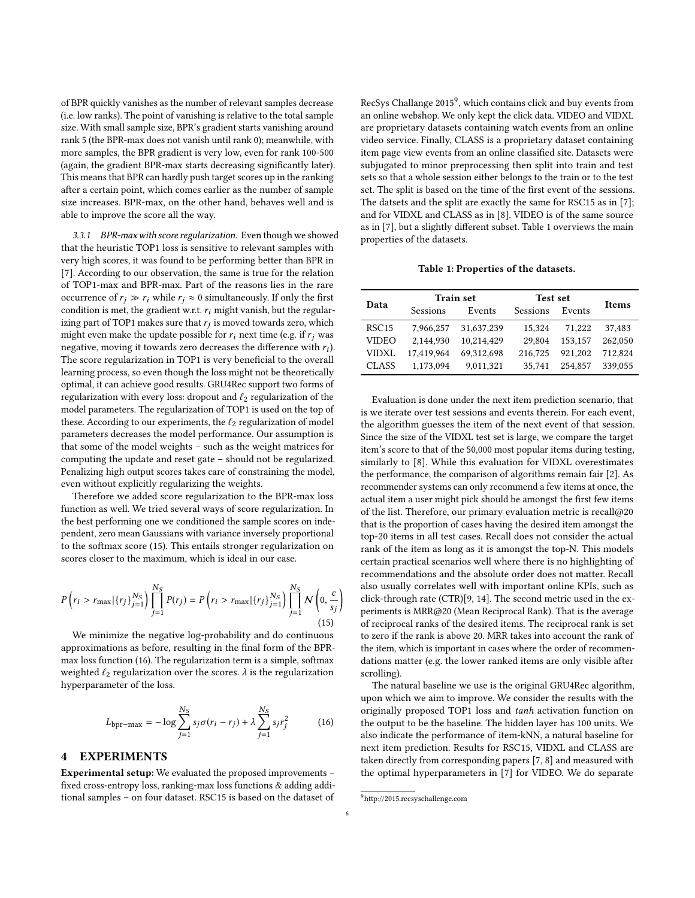of BPR quickly vanishes as the number of relevant samples decrease (i.e. low ranks). The point of vanishing is relative to the total sample size. With small sample size, BPR's gradient starts vanishing around rank 5 (the BPR-max does not vanish until rank 0); meanwhile, with more samples, the BPR gradient is very low, even for rank 100-500 (again, the gradient BPR-max starts decreasing significantly later). This means that BPR can hardly push target scores up in the ranking after a certain point, which comes earlier as the number of sample size increases. BPR-max, on the other hand, behaves well and is able to improve the score all the way.

3.3.1 BPR-max with score regularization. Even though we showed that the heuristic TOP1 loss is sensitive to relevant samples with very high scores, it was found to be performing better than BPR in [\[7\]](#page-8-1). According to our observation, the same is true for the relation of TOP1-max and BPR-max. Part of the reasons lies in the rare occurrence of  $r_i \gg r_i$  while  $r_i \approx 0$  simultaneously. If only the first condition is met, the gradient w.r.t.  $r_i$  might vanish, but the regularizing part of TOP1 makes sure that  $r_j$  is moved towards zero, which<br>might even make the undate possible for  $r_j$  next time (e.g. if  $r_j$  was might even make the update possible for  $r_i$  next time (e.g. if  $r_i$  was negative, moving it towards zero decreases the difference with  $r_i$ ).<br>The score reqularization in TOP1 is very beneficial to the overall The score regularization in TOP1 is very beneficial to the overall learning process, so even though the loss might not be theoretically optimal, it can achieve good results. GRU4Rec support two forms of regularization with every loss: dropout and  $\ell_2$  regularization of the model parameters. The regularization of TOP1 is used on the top of these. According to our experiments, the  $\ell_2$  regularization of model parameters decreases the model performance. Our assumption is that some of the model weights – such as the weight matrices for computing the update and reset gate – should not be regularized. Penalizing high output scores takes care of constraining the model, even without explicitly regularizing the weights.

Therefore we added score regularization to the BPR-max loss function as well. We tried several ways of score regularization. In the best performing one we conditioned the sample scores on independent, zero mean Gaussians with variance inversely proportional to the softmax score [\(15\)](#page-5-0). This entails stronger regularization on scores closer to the maximum, which is ideal in our case.

<span id="page-5-0"></span>
$$
P(r_i > r_{\text{max}} | \{r_j\}_{j=1}^{N_S} ) \prod_{j=1}^{N_S} P(r_j) = P(r_i > r_{\text{max}} | \{r_j\}_{j=1}^{N_S} ) \prod_{j=1}^{N_S} \mathcal{N}\left(0, \frac{c}{s_j}\right)
$$
\n(15)

We minimize the negative log-probability and do continuous approximations as before, resulting in the final form of the BPRmax loss function [\(16\)](#page-5-1). The regularization term is a simple, softmax weighted  $\ell_2$  regularization over the scores.  $\lambda$  is the regularization hyperparameter of the loss.

<span id="page-5-1"></span>
$$
L_{\rm bpr-max} = -\log \sum_{j=1}^{N_S} s_j \sigma(r_i - r_j) + \lambda \sum_{j=1}^{N_S} s_j r_j^2
$$
 (16)

## 4 EXPERIMENTS

Experimental setup: We evaluated the proposed improvements – fixed cross-entropy loss, ranking-max loss functions & adding additional samples – on four dataset. RSC15 is based on the dataset of

RecSys Challange 2015<sup>[9](#page-5-2)</sup>, which contains click and buy events from an online webshop. We only kept the click data. VIDEO and VIDXL are proprietary datasets containing watch events from an online video service. Finally, CLASS is a proprietary dataset containing item page view events from an online classified site. Datasets were subjugated to minor preprocessing then split into train and test sets so that a whole session either belongs to the train or to the test set. The split is based on the time of the first event of the sessions. The datsets and the split are exactly the same for RSC15 as in [\[7\]](#page-8-1); and for VIDXL and CLASS as in [\[8\]](#page-8-7). VIDEO is of the same source as in [\[7\]](#page-8-1), but a slightly different subset. Table [1](#page-5-3) overviews the main properties of the datasets.

Table 1: Properties of the datasets.

<span id="page-5-3"></span>

| Data              |            | <b>Train set</b> | Test set | <b>Items</b> |         |
|-------------------|------------|------------------|----------|--------------|---------|
|                   | Sessions   | Events           | Sessions | Events       |         |
| RSC <sub>15</sub> | 7.966.257  | 31,637,239       | 15.324   | 71.222       | 37.483  |
| VIDEO             | 2.144.930  | 10.214.429       | 29,804   | 153.157      | 262,050 |
| VIDXL             | 17.419.964 | 69.312.698       | 216.725  | 921.202      | 712,824 |
| <b>CLASS</b>      | 1,173,094  | 9,011,321        | 35.741   | 254,857      | 339.055 |

Evaluation is done under the next item prediction scenario, that is we iterate over test sessions and events therein. For each event, the algorithm guesses the item of the next event of that session. Since the size of the VIDXL test set is large, we compare the target item's score to that of the 50,000 most popular items during testing, similarly to [\[8\]](#page-8-7). While this evaluation for VIDXL overestimates the performance, the comparison of algorithms remain fair [\[2\]](#page-8-16). As recommender systems can only recommend a few items at once, the actual item a user might pick should be amongst the first few items of the list. Therefore, our primary evaluation metric is recall@20 that is the proportion of cases having the desired item amongst the top-20 items in all test cases. Recall does not consider the actual rank of the item as long as it is amongst the top-N. This models certain practical scenarios well where there is no highlighting of recommendations and the absolute order does not matter. Recall also usually correlates well with important online KPIs, such as click-through rate (CTR)[\[9,](#page-8-17) [14\]](#page-8-18). The second metric used in the experiments is MRR@20 (Mean Reciprocal Rank). That is the average of reciprocal ranks of the desired items. The reciprocal rank is set to zero if the rank is above 20. MRR takes into account the rank of the item, which is important in cases where the order of recommendations matter (e.g. the lower ranked items are only visible after scrolling).

The natural baseline we use is the original GRU4Rec algorithm, upon which we aim to improve. We consider the results with the originally proposed TOP1 loss and tanh activation function on the output to be the baseline. The hidden layer has 100 units. We also indicate the performance of item-kNN, a natural baseline for next item prediction. Results for RSC15, VIDXL and CLASS are taken directly from corresponding papers [\[7,](#page-8-1) [8\]](#page-8-7) and measured with the optimal hyperparameters in [\[7\]](#page-8-1) for VIDEO. We do separate

<span id="page-5-2"></span><sup>9</sup>http://2015.recsyschallenge.com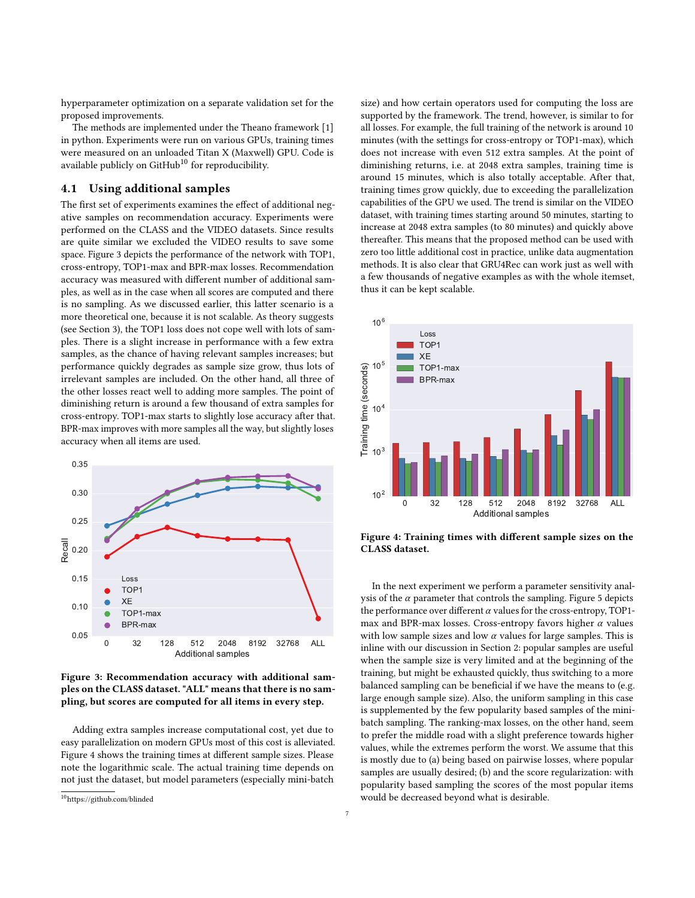hyperparameter optimization on a separate validation set for the proposed improvements.

The methods are implemented under the Theano framework [\[1\]](#page-8-19) in python. Experiments were run on various GPUs, training times were measured on an unloaded Titan X (Maxwell) GPU. Code is available publicly on  $G$ itHub<sup>[10](#page-6-1)</sup> for reproducibility.

## <span id="page-6-0"></span>4.1 Using additional samples

The first set of experiments examines the effect of additional negative samples on recommendation accuracy. Experiments were performed on the CLASS and the VIDEO datasets. Since results are quite similar we excluded the VIDEO results to save some space. Figure [3](#page-6-2) depicts the performance of the network with TOP1, cross-entropy, TOP1-max and BPR-max losses. Recommendation accuracy was measured with different number of additional samples, as well as in the case when all scores are computed and there is no sampling. As we discussed earlier, this latter scenario is a more theoretical one, because it is not scalable. As theory suggests (see Section [3\)](#page-2-0), the TOP1 loss does not cope well with lots of samples. There is a slight increase in performance with a few extra samples, as the chance of having relevant samples increases; but performance quickly degrades as sample size grow, thus lots of irrelevant samples are included. On the other hand, all three of the other losses react well to adding more samples. The point of diminishing return is around a few thousand of extra samples for cross-entropy. TOP1-max starts to slightly lose accuracy after that. BPR-max improves with more samples all the way, but slightly loses accuracy when all items are used.

<span id="page-6-2"></span>

Figure 3: Recommendation accuracy with additional samples on the CLASS dataset. "ALL" means that there is no sampling, but scores are computed for all items in every step.

Adding extra samples increase computational cost, yet due to easy parallelization on modern GPUs most of this cost is alleviated. Figure [4](#page-6-3) shows the training times at different sample sizes. Please note the logarithmic scale. The actual training time depends on not just the dataset, but model parameters (especially mini-batch

size) and how certain operators used for computing the loss are supported by the framework. The trend, however, is similar to for all losses. For example, the full training of the network is around 10 minutes (with the settings for cross-entropy or TOP1-max), which does not increase with even 512 extra samples. At the point of diminishing returns, i.e. at 2048 extra samples, training time is around 15 minutes, which is also totally acceptable. After that, training times grow quickly, due to exceeding the parallelization capabilities of the GPU we used. The trend is similar on the VIDEO dataset, with training times starting around 50 minutes, starting to increase at 2048 extra samples (to 80 minutes) and quickly above thereafter. This means that the proposed method can be used with zero too little additional cost in practice, unlike data augmentation methods. It is also clear that GRU4Rec can work just as well with a few thousands of negative examples as with the whole itemset, thus it can be kept scalable.

<span id="page-6-3"></span>

Figure 4: Training times with different sample sizes on the CLASS dataset.

In the next experiment we perform a parameter sensitivity analysis of the  $\alpha$  parameter that controls the sampling. Figure [5](#page-7-0) depicts the performance over different  $\alpha$  values for the cross-entropy, TOP1max and BPR-max losses. Cross-entropy favors higher  $\alpha$  values with low sample sizes and low  $\alpha$  values for large samples. This is inline with our discussion in Section [2:](#page-1-4) popular samples are useful when the sample size is very limited and at the beginning of the training, but might be exhausted quickly, thus switching to a more balanced sampling can be beneficial if we have the means to (e.g. large enough sample size). Also, the uniform sampling in this case is supplemented by the few popularity based samples of the minibatch sampling. The ranking-max losses, on the other hand, seem to prefer the middle road with a slight preference towards higher values, while the extremes perform the worst. We assume that this is mostly due to (a) being based on pairwise losses, where popular samples are usually desired; (b) and the score regularization: with popularity based sampling the scores of the most popular items would be decreased beyond what is desirable.

<span id="page-6-1"></span><sup>10</sup>https://github.com/blinded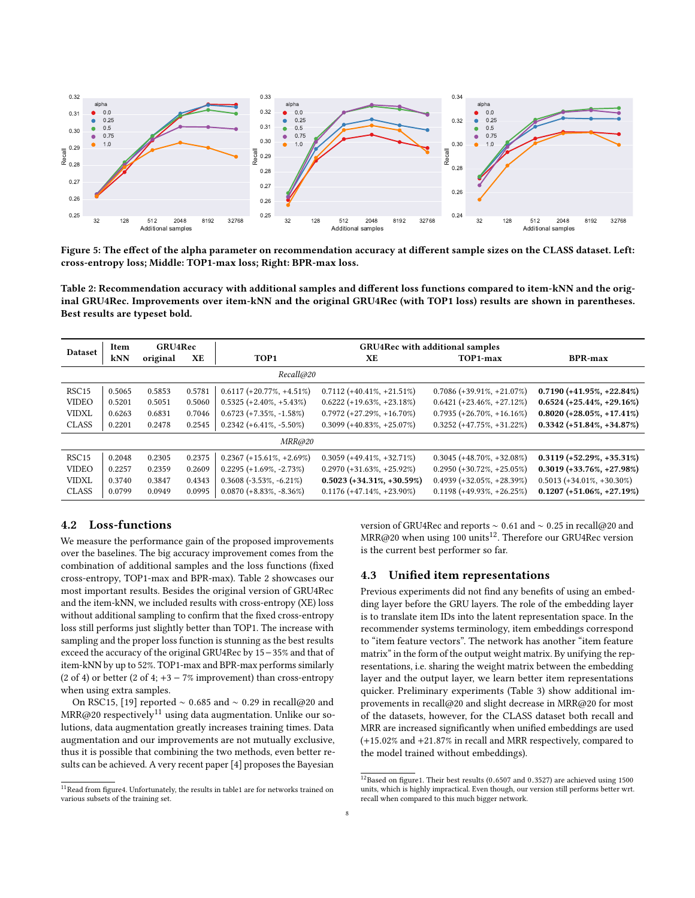<span id="page-7-0"></span>

Figure 5: The effect of the alpha parameter on recommendation accuracy at different sample sizes on the CLASS dataset. Left: cross-entropy loss; Middle: TOP1-max loss; Right: BPR-max loss.

<span id="page-7-1"></span>Table 2: Recommendation accuracy with additional samples and different loss functions compared to item-kNN and the original GRU4Rec. Improvements over item-kNN and the original GRU4Rec (with TOP1 loss) results are shown in parentheses. Best results are typeset bold.

|                   | Item       | GRU4Rec  |        | <b>GRU4Rec with additional samples</b> |                               |                               |                               |
|-------------------|------------|----------|--------|----------------------------------------|-------------------------------|-------------------------------|-------------------------------|
| <b>Dataset</b>    | <b>kNN</b> | original | XE     | TOP1                                   | XE.                           | TOP1-max                      | <b>BPR-max</b>                |
| Recall@20         |            |          |        |                                        |                               |                               |                               |
| RSC <sub>15</sub> | 0.5065     | 0.5853   | 0.5781 | $0.6117 (+20.77\%, +4.51\%)$           | $0.7112 (+40.41\%, +21.51\%)$ | $0.7086 (+39.91\%, +21.07\%)$ | $0.7190 (+41.95\%, +22.84\%)$ |
| <b>VIDEO</b>      | 0.5201     | 0.5051   | 0.5060 | $0.5325 (+2.40\%, +5.43\%)$            | $0.6222 (+19.63\%, +23.18\%)$ | $0.6421 (+23.46\%, +27.12\%)$ | $0.6524 (+25.44\%, +29.16\%)$ |
| <b>VIDXL</b>      | 0.6263     | 0.6831   | 0.7046 | $0.6723 (+7.35\%, -1.58\%)$            | $0.7972 (+27.29\%, +16.70\%)$ | $0.7935 (+26.70\%, +16.16\%)$ | $0.8020 (+28.05\%, +17.41\%)$ |
| <b>CLASS</b>      | 0.2201     | 0.2478   | 0.2545 | $0.2342 (+6.41\%, -5.50\%)$            | $0.3099 (+40.83\%, +25.07\%)$ | $0.3252 (+47.75\%, +31.22\%)$ | $0.3342 (+51.84\%, +34.87\%)$ |
|                   |            |          |        | MRR@20                                 |                               |                               |                               |
| RSC <sub>15</sub> | 0.2048     | 0.2305   | 0.2375 | $0.2367 (+15.61\%, +2.69\%)$           | $0.3059 (+49.41\%, +32.71\%)$ | $0.3045 (+48.70\%, +32.08\%)$ | $0.3119 (+52.29\%, +35.31\%)$ |
| <b>VIDEO</b>      | 0.2257     | 0.2359   | 0.2609 | $0.2295 (+1.69\%, -2.73\%)$            | $0.2970 (+31.63\%, +25.92\%)$ | $0.2950 (+30.72\%, +25.05\%)$ | $0.3019 (+33.76\%, +27.98\%)$ |
| VIDXI.            | 0.3740     | 0.3847   | 0.4343 | $0.3608(-3.53\%, -6.21\%)$             | $0.5023 (+34.31\%, +30.59\%)$ | $0.4939 (+32.05\%, +28.39\%)$ | $0.5013 (+34.01\%, +30.30\%)$ |
| <b>CLASS</b>      | 0.0799     | 0.0949   | 0.0995 | $0.0870 (+8.83\%,-8.36\%)$             | $0.1176 (+47.14\%, +23.90\%)$ | $0.1198 (+49.93\%, +26.25\%)$ | $0.1207 (+51.06\%, +27.19\%)$ |

# 4.2 Loss-functions

We measure the performance gain of the proposed improvements over the baselines. The big accuracy improvement comes from the combination of additional samples and the loss functions (fixed cross-entropy, TOP1-max and BPR-max). Table [2](#page-7-1) showcases our most important results. Besides the original version of GRU4Rec and the item-kNN, we included results with cross-entropy (XE) loss without additional sampling to confirm that the fixed cross-entropy loss still performs just slightly better than TOP1. The increase with sampling and the proper loss function is stunning as the best results exceed the accuracy of the original GRU4Rec by 15−35% and that of item-kNN by up to 52%. TOP1-max and BPR-max performs similarly (2 of 4) or better (2 of 4;  $+3 - 7\%$  improvement) than cross-entropy when using extra samples.

On RSC15, [\[19\]](#page-8-6) reported <sup>∼</sup> <sup>0</sup>.<sup>685</sup> and <sup>∼</sup> <sup>0</sup>.<sup>29</sup> in recall@20 and  $MRR@20$  respectively<sup>[11](#page-7-2)</sup> using data augmentation. Unlike our solutions, data augmentation greatly increases training times. Data augmentation and our improvements are not mutually exclusive, thus it is possible that combining the two methods, even better results can be achieved. A very recent paper [\[4\]](#page-8-20) proposes the Bayesian

version of GRU4Rec and reports <sup>∼</sup> <sup>0</sup>.<sup>61</sup> and <sup>∼</sup> <sup>0</sup>.<sup>25</sup> in recall@20 and  $MRR@20$  when using 100 units<sup>[12](#page-7-3)</sup>. Therefore our GRU4Rec version is the current best performer so far.

## 4.3 Unified item representations

Previous experiments did not find any benefits of using an embedding layer before the GRU layers. The role of the embedding layer is to translate item IDs into the latent representation space. In the recommender systems terminology, item embeddings correspond to "item feature vectors". The network has another "item feature matrix" in the form of the output weight matrix. By unifying the representations, i.e. sharing the weight matrix between the embedding layer and the output layer, we learn better item representations quicker. Preliminary experiments (Table [3\)](#page-8-21) show additional improvements in recall@20 and slight decrease in MRR@20 for most of the datasets, however, for the CLASS dataset both recall and MRR are increased significantly when unified embeddings are used (+15.02% and <sup>+</sup>21.87% in recall and MRR respectively, compared to the model trained without embeddings).

<span id="page-7-2"></span> $^{11}\rm{Read}$  from figure<br>4. Unfortunately, the results in table1 are for networks trained on various subsets of the training set.

<span id="page-7-3"></span> $12$ Based on figure1. Their best results (0.6507 and 0.3527) are achieved using 1500 units, which is highly impractical. Even though, our version still performs better wrt. recall when compared to this much bigger network.